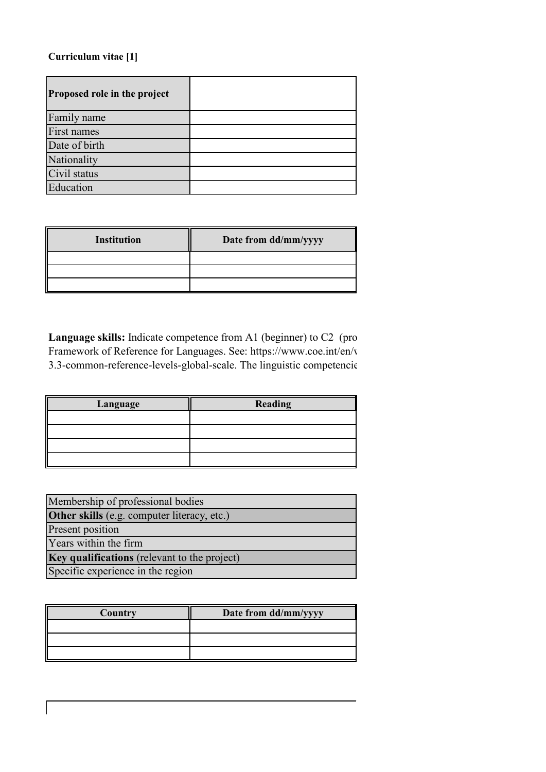## **Curriculum vitae [1]**

| Proposed role in the project |  |
|------------------------------|--|
| Family name                  |  |
| First names                  |  |
| Date of birth                |  |
| Nationality                  |  |
| Civil status                 |  |
| Education                    |  |

| <b>Institution</b> | Date from dd/mm/yyyy |
|--------------------|----------------------|
|                    |                      |
|                    |                      |
|                    |                      |

Language skills: Indicate competence from A1 (beginner) to C2 (pro Framework of Reference for Languages. See: https://www.coe.int/en/v 3.3-common-reference-levels-global-scale. The linguistic competencies

| Language | Reading |
|----------|---------|
|          |         |
|          |         |
|          |         |
|          |         |

| Membership of professional bodies                  |  |
|----------------------------------------------------|--|
| <b>Other skills</b> (e.g. computer literacy, etc.) |  |
| Present position                                   |  |
| Years within the firm                              |  |
| Key qualifications (relevant to the project)       |  |
| Specific experience in the region                  |  |

| Country | Date from dd/mm/yyyy |
|---------|----------------------|
|         |                      |
|         |                      |
|         |                      |

 $\overline{\phantom{a}}$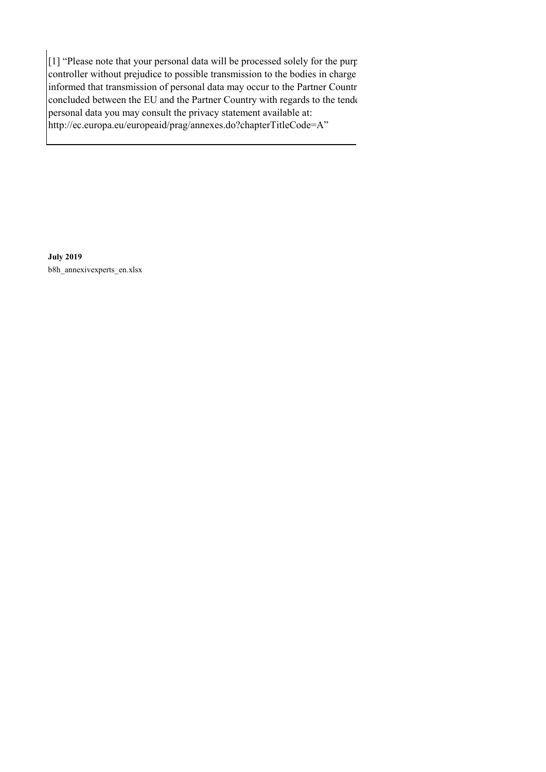[1] "Please note that your personal data will be processed solely for the purposes of the management and monoitoring of the contract by the management and monoid of the management and monoid of the contract by the data wil controller without prejudice to possible transmission to the bodies in charge informed that transmission of personal data may occur to the Partner Country concluded between the EU and the Partner Country with regards to the tender. personal data you may consult the privacy statement available at: http://ec.europa.eu/europeaid/prag/annexes.do?chapterTitleCode=A"

**July 2019** b8h\_annexivexperts\_en.xlsx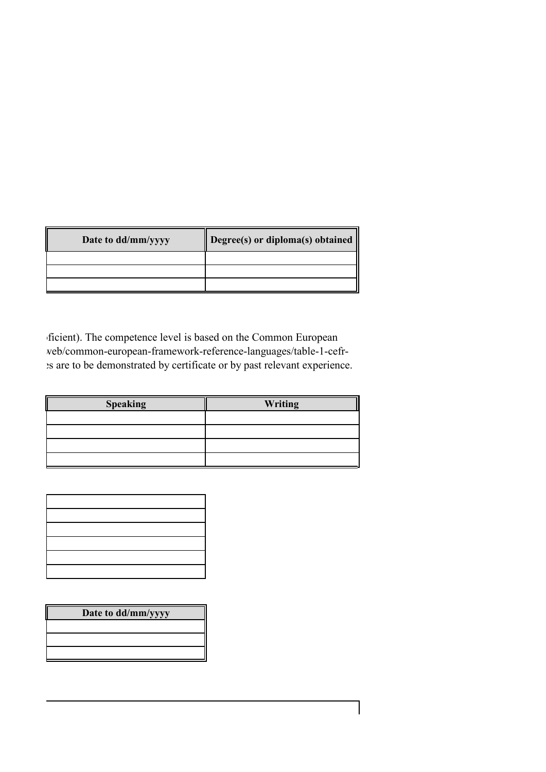| Date to dd/mm/yyyy | Degree(s) or diploma(s) obtained |
|--------------------|----------------------------------|
|                    |                                  |
|                    |                                  |
|                    |                                  |

Ificient). The competence level is based on the Common European  $veb/common-european-frame work-reference-languages/table-1-cefr-$ <sup>25</sup>common-reference-level are to be demonstrated by certificate or by past relevant experience.

| <b>Speaking</b> | Writing |
|-----------------|---------|
|                 |         |
|                 |         |
|                 |         |
|                 |         |

| Date to dd/mm/yyyy |
|--------------------|
|                    |
|                    |
|                    |